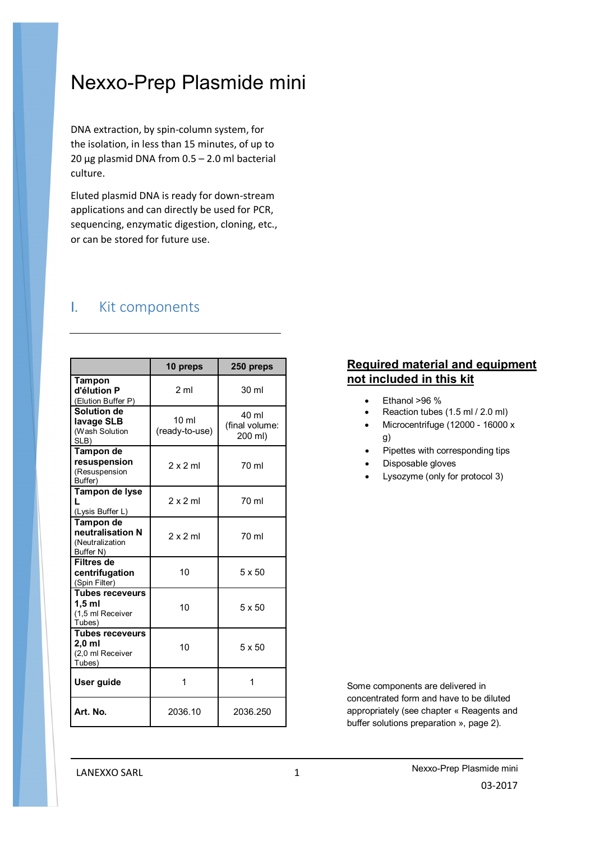# Nexxo-Prep Plasmide mini

DNA extraction, by spin-column system, for the isolation, in less than 15 minutes, of up to 20  $\mu$ g plasmid DNA from 0.5 – 2.0 ml bacterial culture.

Eluted plasmid DNA is ready for down-stream applications and can directly be used for PCR, sequencing, enzymatic digestion, cloning, etc., or can be stored for future use.

# I. Kit components

|                                                                | 10 preps                          | 250 preps                          |
|----------------------------------------------------------------|-----------------------------------|------------------------------------|
| Tampon<br>d'élution P<br>(Elution Buffer P)                    | 2 <sub>m</sub>                    | 30 ml                              |
| Solution de<br>lavage SLB<br>(Wash Solution<br>SLB)            | 10 <sub>m</sub><br>(ready-to-use) | 40 ml<br>(final volume:<br>200 ml) |
| Tampon de<br>resuspension<br>(Resuspension<br>Buffer)          | $2 \times 2$ ml                   | 70 ml                              |
| Tampon de lyse<br>(Lysis Buffer L)                             | $2 \times 2$ ml                   | 70 ml                              |
| Tampon de<br>neutralisation N<br>(Neutralization<br>Buffer N)  | 2x2m                              | 70 ml                              |
| Filtres de<br>centrifugation<br>(Spin Filter)                  | 10                                | 5 x 50                             |
| <b>Tubes receveurs</b><br>1.5 ml<br>(1,5 ml Receiver<br>Tubes) | 10                                | 5 x 50                             |
| <b>Tubes receveurs</b><br>2.0 ml<br>(2,0 ml Receiver<br>Tubes) | 10                                | 5 x 50                             |
| User guide                                                     | 1                                 | 1                                  |
| Art. No.                                                       | 2036.10                           | 2036.250                           |

## **Required material and equipment not included in this kit**

- Ethanol >96 %
- Reaction tubes (1.5 ml / 2.0 ml)
- Microcentrifuge (12000 16000 x g)
- Pipettes with corresponding tips
- Disposable gloves
- Lysozyme (only for protocol 3)

Some components are delivered in concentrated form and have to be diluted appropriately (see chapter « Reagents and buffer solutions preparation », page 2).

LANEXXO SARL 1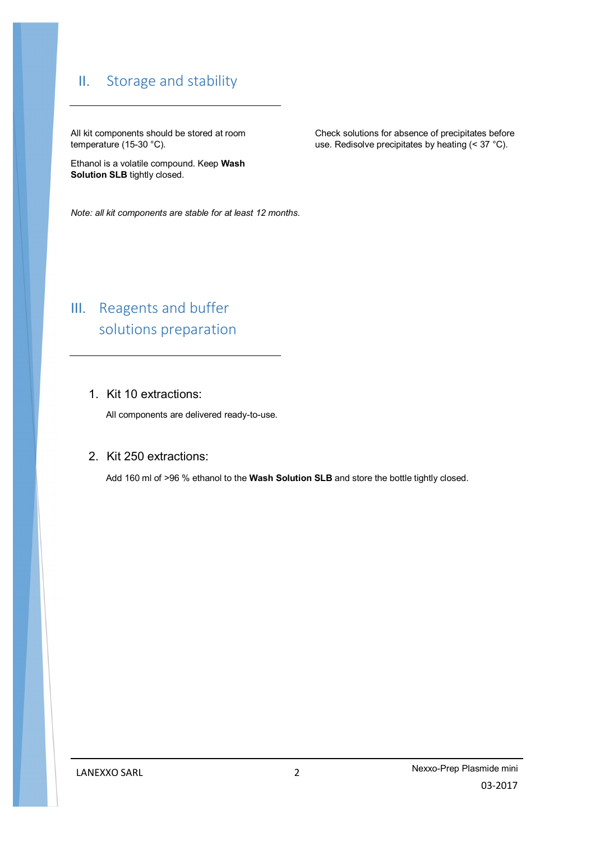# II. Storage and stability

All kit components should be stored at room temperature (15-30 °C).

Ethanol is a volatile compound. Keep **Wash Solution SLB** tightly closed.

Check solutions for absence of precipitates before use. Redisolve precipitates by heating (< 37 °C).

*Note: all kit components are stable for at least 12 months.*

# III. Reagents and buffer solutions preparation

## 1. Kit 10 extractions:

All components are delivered ready-to-use.

### 2. Kit 250 extractions:

Add 160 ml of >96 % ethanol to the **Wash Solution SLB** and store the bottle tightly closed.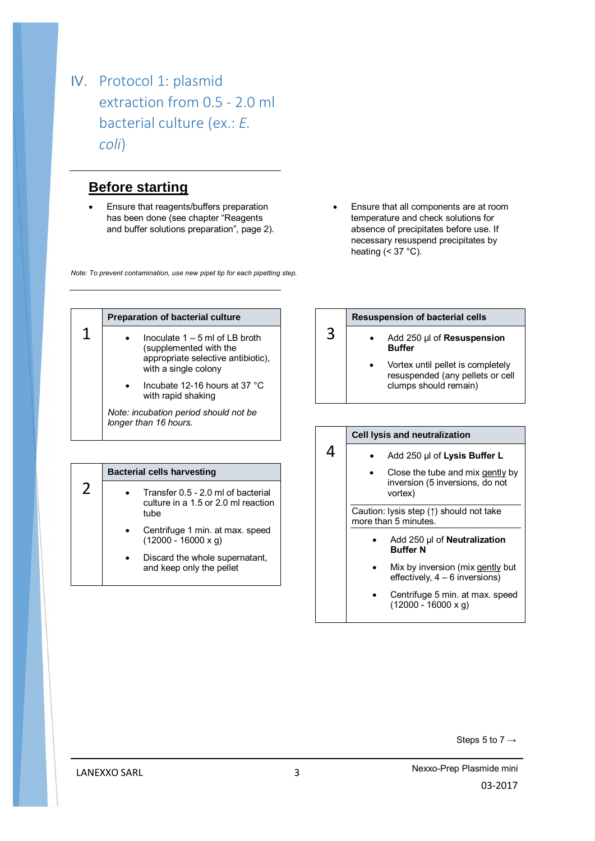# IV. Protocol 1: plasmid extraction from 0.5 - 2.0 ml bacterial culture (ex.: *E. coli*)

## **Before starting**

 Ensure that reagents/buffers preparation has been done (see chapter "Reagents and buffer solutions preparation", page 2).

*Note: To prevent contamination, use new pipet tip for each pipetting step.*

 Ensure that all components are at room temperature and check solutions for absence of precipitates before use. If necessary resuspend precipitates by heating  $( $37$  °C)$ .

|   | <b>Preparation of bacterial culture</b>                                                                                   |  |
|---|---------------------------------------------------------------------------------------------------------------------------|--|
| 1 | Inoculate $1 - 5$ ml of I B broth<br>(supplemented with the<br>appropriate selective antibiotic),<br>with a single colony |  |
|   | Incubate 12-16 hours at 37 °C<br>with rapid shaking                                                                       |  |
|   | Note: incubation period should not be<br>longer than 16 hours.                                                            |  |

| <b>Bacterial cells harvesting</b>                                                 |  |
|-----------------------------------------------------------------------------------|--|
| Transfer 0.5 - 2.0 ml of bacterial<br>culture in a 1.5 or 2.0 ml reaction<br>tube |  |
| Centrifuge 1 min. at max. speed<br>$(12000 - 16000 x g)$                          |  |
| Discard the whole supernatant,<br>and keep only the pellet                        |  |

#### **Resuspension of bacterial cells**

3

4

- Add 250 µl of **Resuspension Buffer**
	- Vortex until pellet is completely resuspended (any pellets or cell clumps should remain)

#### **Cell lysis and neutralization**

- Add 250 µl of **Lysis Buffer L**
- Close the tube and mix gently by inversion (5 inversions, do not vortex)

Caution: lysis step (↑) should not take more than 5 minutes.

- Add 250 µl of **Neutralization Buffer N**
- Mix by inversion (mix gently but effectively, 4 – 6 inversions)
- Centrifuge 5 min. at max. speed (12000 - 16000 x g)

Steps 5 to  $7 \rightarrow$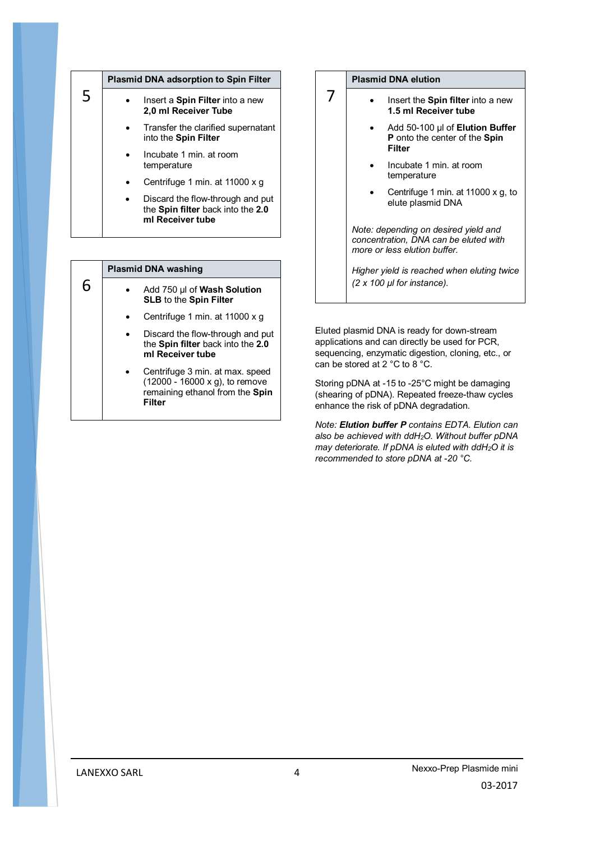| 5 |  | <b>Plasmid DNA adsorption to Spin Filter</b>                                              |  |
|---|--|-------------------------------------------------------------------------------------------|--|
|   |  | Insert a <b>Spin Filter</b> into a new<br>2,0 ml Receiver Tube                            |  |
|   |  | Transfer the clarified supernatant<br>into the Spin Filter                                |  |
|   |  | Incubate 1 min. at room<br>temperature                                                    |  |
|   |  | Centrifuge 1 min. at 11000 x g                                                            |  |
|   |  | Discard the flow-through and put<br>the Spin filter back into the 2.0<br>ml Receiver tube |  |

|   | <b>Plasmid DNA washing</b>                                                                                     |
|---|----------------------------------------------------------------------------------------------------------------|
| 6 | Add 750 µl of Wash Solution<br>SLB to the Spin Filter                                                          |
|   | Centrifuge 1 min. at 11000 x g                                                                                 |
|   | Discard the flow-through and put<br>the Spin filter back into the 2.0<br>ml Receiver tube                      |
|   | Centrifuge 3 min. at max. speed<br>(12000 - 16000 x g), to remove<br>remaining ethanol from the Spin<br>Filter |

#### **Plasmid DNA elution**

7

- Insert the **Spin filter** into a new **1.5 ml Receiver tube**
	- Add 50-100 µl of **Elution Buffer P** onto the center of the **Spin Filter**
	- Incubate 1 min. at room temperature
	- Centrifuge 1 min. at 11000 x g, to elute plasmid DNA

*Note: depending on desired yield and concentration, DNA can be eluted with more or less elution buffer.* 

*Higher yield is reached when eluting twice (2 x 100 µl for instance).*

Eluted plasmid DNA is ready for down-stream applications and can directly be used for PCR, sequencing, enzymatic digestion, cloning, etc., or can be stored at 2 °C to 8 °C.

Storing pDNA at -15 to -25°C might be damaging (shearing of pDNA). Repeated freeze-thaw cycles enhance the risk of pDNA degradation.

*Note: Elution buffer P contains EDTA. Elution can also be achieved with ddH2O. Without buffer pDNA may deteriorate. If pDNA is eluted with ddH2O it is recommended to store pDNA at -20 °C.*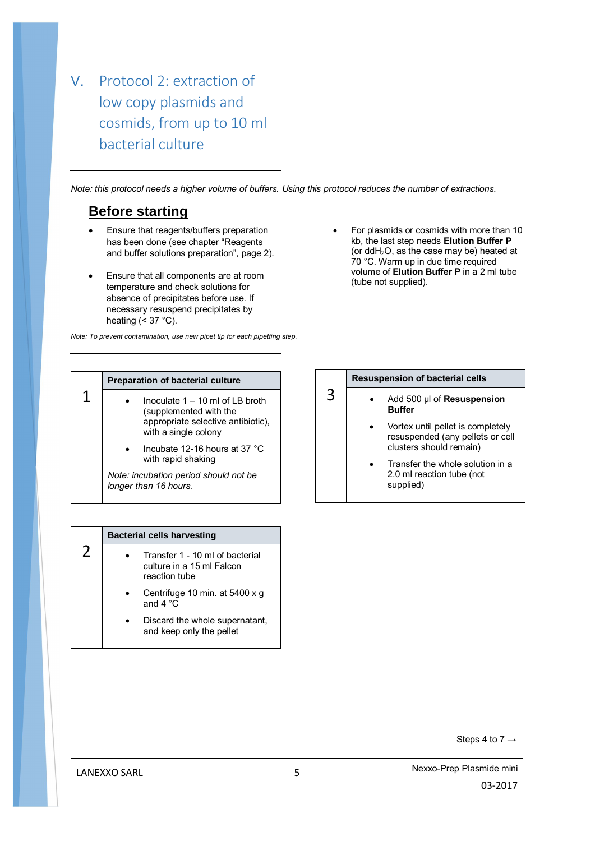V. Protocol 2: extraction of low copy plasmids and cosmids, from up to 10 ml bacterial culture

*Note: this protocol needs a higher volume of buffers. Using this protocol reduces the number of extractions.*

## **Before starting**

- Ensure that reagents/buffers preparation has been done (see chapter "Reagents and buffer solutions preparation", page 2).
- Ensure that all components are at room temperature and check solutions for absence of precipitates before use. If necessary resuspend precipitates by heating  $( $37$  °C)$ .

*Note: To prevent contamination, use new pipet tip for each pipetting step.*

 For plasmids or cosmids with more than 10 kb, the last step needs **Elution Buffer P** (or ddH2O, as the case may be) heated at 70 °C. Warm up in due time required volume of **Elution Buffer P** in a 2 ml tube (tube not supplied).

| <b>Preparation of bacterial culture</b>                                                                                 |  |
|-------------------------------------------------------------------------------------------------------------------------|--|
| Inoculate 1 – 10 ml of LB broth<br>(supplemented with the<br>appropriate selective antibiotic),<br>with a single colony |  |
| Incubate 12-16 hours at 37 °C<br>with rapid shaking                                                                     |  |
| Note: incubation period should not be<br>longer than 16 hours.                                                          |  |

#### **Resuspension of bacterial cells**

3

- Add 500 µl of **Resuspension Buffer**
	- Vortex until pellet is completely resuspended (any pellets or cell clusters should remain)
	- Transfer the whole solution in a 2.0 ml reaction tube (not supplied)

| <b>Bacterial cells harvesting</b>                                             |
|-------------------------------------------------------------------------------|
| Transfer 1 - 10 ml of bacterial<br>culture in a 15 ml Falcon<br>reaction tube |
| Centrifuge 10 min. at 5400 x g<br>and $4^{\circ}$ C.                          |
| Discard the whole supernatant,<br>and keep only the pellet                    |

Steps 4 to  $7 \rightarrow$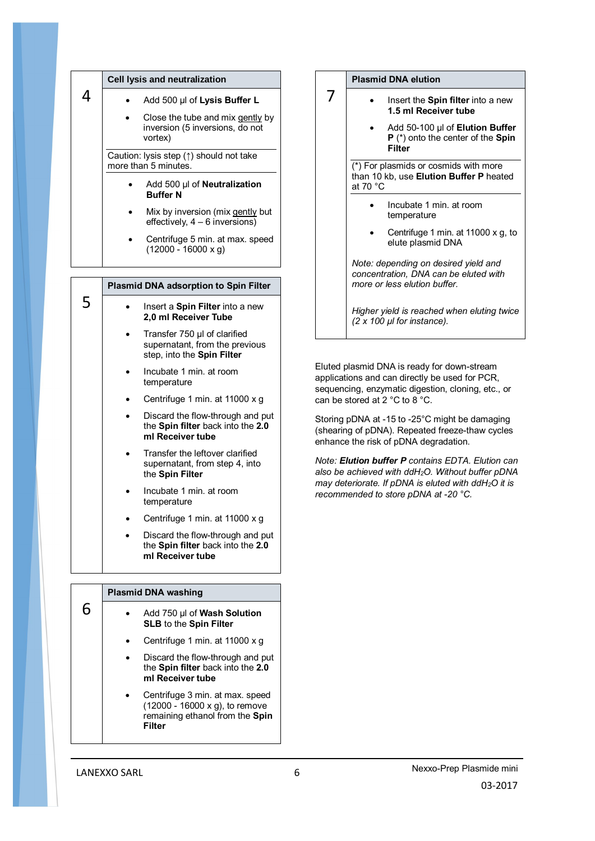|   | Cell lysis and neutralization                                   |                                                                                              |
|---|-----------------------------------------------------------------|----------------------------------------------------------------------------------------------|
| 4 |                                                                 | Add 500 µl of Lysis Buffer L                                                                 |
|   |                                                                 | Close the tube and mix gently by<br>inversion (5 inversions, do not<br>vortex)               |
|   | Caution: lysis step (1) should not take<br>more than 5 minutes. |                                                                                              |
|   |                                                                 | Add 500 µl of Neutralization<br><b>Buffer N</b>                                              |
|   |                                                                 | Mix by inversion (mix gently but<br>effectively, 4 - 6 inversions)                           |
|   |                                                                 | Centrifuge 5 min. at max. speed<br>$(12000 - 16000 x g)$                                     |
|   |                                                                 |                                                                                              |
|   |                                                                 | <b>Plasmid DNA adsorption to Spin Filter</b>                                                 |
|   |                                                                 |                                                                                              |
| 5 |                                                                 | Insert a Spin Filter into a new<br>2,0 ml Receiver Tube                                      |
|   |                                                                 | Transfer 750 µl of clarified<br>supernatant, from the previous<br>step, into the Spin Filter |
|   |                                                                 | Incubate 1 min. at room<br>temperature                                                       |
|   |                                                                 | Centrifuge 1 min. at 11000 x g                                                               |
|   |                                                                 | Discard the flow-through and put<br>the Spin filter back into the 2.0<br>ml Receiver tube    |
|   |                                                                 | Transfer the leftover clarified<br>supernatant, from step 4, into<br>the Spin Filter         |
|   |                                                                 | Incubate 1 min. at room<br>temperature                                                       |

 Discard the flow-through and put the **Spin filter** back into the **2.0 ml Receiver tube**

### **Plasmid DNA washing**

|  | Add 750 µl of Wash Solution<br><b>SLB</b> to the Spin Filter                                                   |
|--|----------------------------------------------------------------------------------------------------------------|
|  | Centrifuge 1 min. at 11000 x q                                                                                 |
|  | Discard the flow-through and put<br>the Spin filter back into the 2.0<br>ml Receiver tube                      |
|  | Centrifuge 3 min. at max. speed<br>(12000 - 16000 x g), to remove<br>remaining ethanol from the Spin<br>Filter |

#### **Plasmid DNA elution**

7

- Insert the **Spin filter** into a new **1.5 ml Receiver tube**
	- Add 50-100 µl of **Elution Buffer P** (\*) onto the center of the **Spin Filter**

 $(*)$  For plasmids or cosmids with more than 10 kb, use **Elution Buffer P** heated at 70 °C

- Incubate 1 min. at room temperature
- Centrifuge 1 min. at 11000 x g, to elute plasmid DNA

*Note: depending on desired yield and concentration, DNA can be eluted with more or less elution buffer.* 

*Higher yield is reached when eluting twice (2 x 100 µl for instance).*

Eluted plasmid DNA is ready for down-stream applications and can directly be used for PCR, sequencing, enzymatic digestion, cloning, etc., or can be stored at 2 °C to 8 °C.

Storing pDNA at -15 to -25°C might be damaging (shearing of pDNA). Repeated freeze-thaw cycles enhance the risk of pDNA degradation.

*Note: Elution buffer P contains EDTA. Elution can also be achieved with ddH2O. Without buffer pDNA may deteriorate. If pDNA is eluted with ddH2O it is recommended to store pDNA at -20 °C.*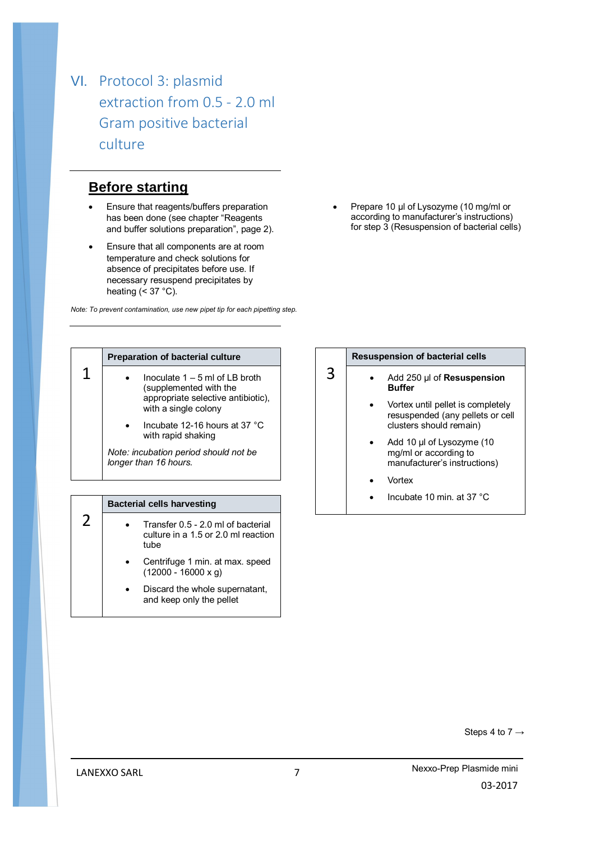VI. Protocol 3: plasmid extraction from 0.5 - 2.0 ml Gram positive bacterial culture

## **Before starting**

- Ensure that reagents/buffers preparation has been done (see chapter "Reagents and buffer solutions preparation", page 2).
- Ensure that all components are at room temperature and check solutions for absence of precipitates before use. If necessary resuspend precipitates by heating  $( $37$  °C)$ .

*Note: To prevent contamination, use new pipet tip for each pipetting step.*

Prepare 10 µl of Lysozyme (10 mg/ml or according to manufacturer's instructions) for step 3 (Resuspension of bacterial cells)

|   | <b>Preparation of bacterial culture</b>                                                                                   |  |
|---|---------------------------------------------------------------------------------------------------------------------------|--|
| 1 | Inoculate $1 - 5$ ml of I B broth<br>(supplemented with the<br>appropriate selective antibiotic),<br>with a single colony |  |
|   | Incubate 12-16 hours at 37 °C<br>with rapid shaking                                                                       |  |
|   | Note: incubation period should not be<br>longer than 16 hours.                                                            |  |

|  | <b>Bacterial cells harvesting</b>                                                 |
|--|-----------------------------------------------------------------------------------|
|  | Transfer 0.5 - 2.0 ml of bacterial<br>culture in a 1.5 or 2.0 ml reaction<br>tube |
|  | Centrifuge 1 min. at max. speed<br>$(12000 - 16000 x g)$                          |
|  | Discard the whole supernatant,<br>and keep only the pellet                        |

### 3 **Resuspension of bacterial cells** Add 250 µl of **Resuspension Buffer** Vortex until pellet is completely resuspended (any pellets or cell clusters should remain) Add 10 µl of Lysozyme (10

- mg/ml or according to manufacturer's instructions)
- Vortex
- Incubate 10 min. at 37 °C

Steps 4 to  $7 \rightarrow$